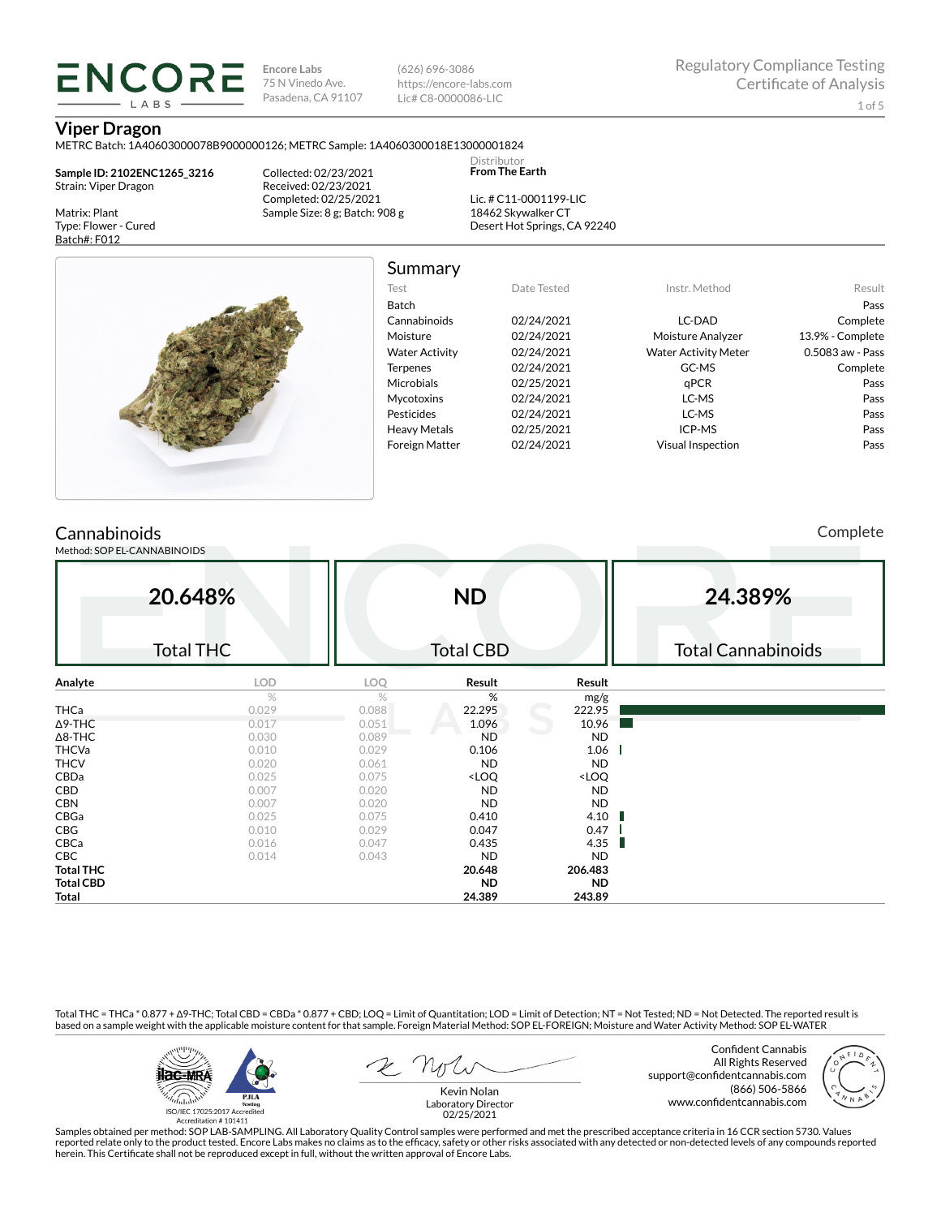(626) 696-3086 https://encore-labs.com Lic# C8-0000086-LIC

> Distributor **From The Earth**

#### **Viper Dragon**

METRC Batch: 1A40603000078B9000000126; METRC Sample: 1A4060300018E13000001824

**Sample ID: 2102ENC1265\_3216** Strain: Viper Dragon

**ENCORE** LARS

Matrix: Plant Type: Flower - Cured Batch#: F012

Collected: 02/23/2021 Received: 02/23/2021 Completed: 02/25/2021 Sample Size: 8 g; Batch: 908 g

Lic. # C11-0001199-LIC 18462 Skywalker CT Desert Hot Springs, CA 92240



Summary

| Test                  | Date Tested | Instr. Method               | Result           |
|-----------------------|-------------|-----------------------------|------------------|
| <b>Batch</b>          |             |                             | Pass             |
| Cannabinoids          | 02/24/2021  | LC-DAD                      | Complete         |
| Moisture              | 02/24/2021  | Moisture Analyzer           | 13.9% - Complete |
| <b>Water Activity</b> | 02/24/2021  | <b>Water Activity Meter</b> | 0.5083 aw - Pass |
| <b>Terpenes</b>       | 02/24/2021  | GC-MS                       | Complete         |
| <b>Microbials</b>     | 02/25/2021  | aPCR                        | Pass             |
| <b>Mycotoxins</b>     | 02/24/2021  | LC-MS                       | Pass             |
| Pesticides            | 02/24/2021  | LC-MS                       | Pass             |
| <b>Heavy Metals</b>   | 02/25/2021  | ICP-MS                      | Pass             |
| <b>Foreign Matter</b> | 02/24/2021  | <b>Visual Inspection</b>    | Pass             |
|                       |             |                             |                  |

## **Cannabinoids**

Method: SOP EL-CANNABINOIDS

Complete

|                  | 20.648%          |       | <b>ND</b>                                                |                              | 24.389%                   |
|------------------|------------------|-------|----------------------------------------------------------|------------------------------|---------------------------|
|                  | <b>Total THC</b> |       | <b>Total CBD</b>                                         |                              | <b>Total Cannabinoids</b> |
| Analyte          | <b>LOD</b>       | LOQ   | Result                                                   | Result                       |                           |
|                  | %                | %     | %                                                        | mg/g                         |                           |
| THCa             | 0.029            | 0.088 | 22.295                                                   | 222.95                       |                           |
| ∆9-THC           | 0.017            | 0.051 | 1.096                                                    | 10.96                        |                           |
| $\Delta$ 8-THC   | 0.030            | 0.089 | <b>ND</b>                                                | ND.                          |                           |
| <b>THCVa</b>     | 0.010            | 0.029 | 0.106                                                    | 1.06                         |                           |
| <b>THCV</b>      | 0.020            | 0.061 | <b>ND</b>                                                | ND.                          |                           |
| CBDa             | 0.025            | 0.075 | <loq< td=""><td><loq< td=""><td></td></loq<></td></loq<> | <loq< td=""><td></td></loq<> |                           |
| CBD              | 0.007            | 0.020 | <b>ND</b>                                                | <b>ND</b>                    |                           |
| <b>CBN</b>       | 0.007            | 0.020 | ND.                                                      | <b>ND</b>                    |                           |
| CBGa             | 0.025            | 0.075 | 0.410                                                    | 4.10                         |                           |
| CBG              | 0.010            | 0.029 | 0.047                                                    | 0.47                         |                           |
| CBCa             | 0.016            | 0.047 | 0.435                                                    | 4.35<br>п                    |                           |
| <b>CBC</b>       | 0.014            | 0.043 | <b>ND</b>                                                | ND.                          |                           |
| <b>Total THC</b> |                  |       | 20.648                                                   | 206.483                      |                           |
| <b>Total CBD</b> |                  |       | <b>ND</b>                                                | ND.                          |                           |
| Total            |                  |       | 24.389                                                   | 243.89                       |                           |

Total THC = THCa \* 0.877 + ∆9-THC; Total CBD = CBDa \* 0.877 + CBD; LOQ = Limit of Quantitation; LOD = Limit of Detection; NT = Not Tested; ND = Not Detected. The reported result is based on a sample weight with the applicable moisture content for that sample. Foreign Material Method: SOP EL-FOREIGN; Moisture and Water Activity Method: SOP EL-WATER



Confident Cannabis All Rights Reserved support@confidentcannabis.com (866) 506-5866 www.confidentcannabis.com



Kevin Nolan Laboratory Director 02/25/2021

Samples obtained per method: SOP LAB-SAMPLING. All Laboratory Quality Control samples were performed and met the prescribed acceptance criteria in 16 CCR section 5730. Values reported relate only to the product tested. Encore Labs makes no claims as to the efficacy, safety or other risks associated with any detected or non-detected levels of any compounds reported<br>herein. This Certificate shall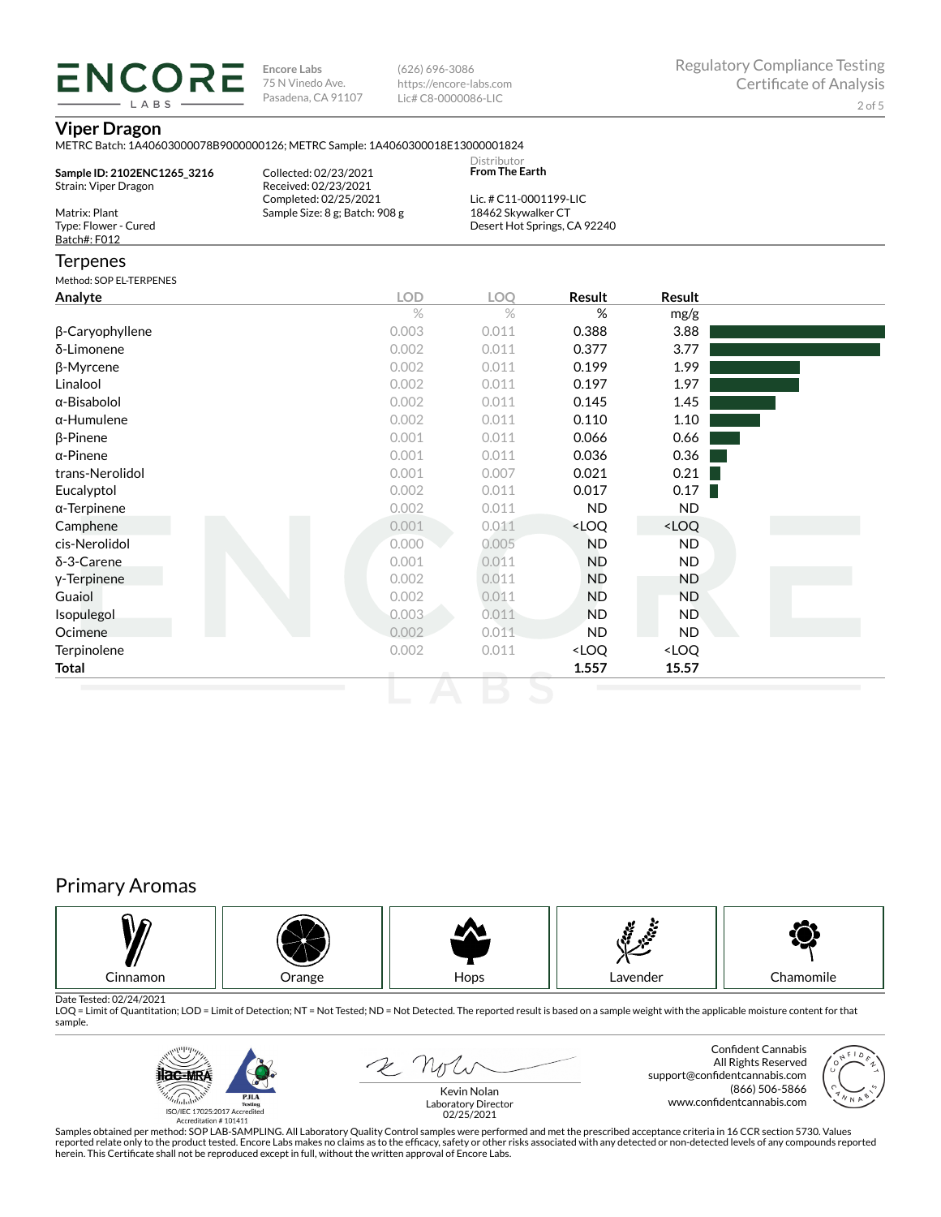(626) 696-3086 https://encore-labs.com Lic# C8-0000086-LIC

## **Viper Dragon**

**ENCORE** LABS

|                                                       | METRC Batch: 1A40603000078B9000000126; METRC Sample: 1A4060300018E13000001824 | Distributor<br>From The Earth                |                                                          |                              |  |
|-------------------------------------------------------|-------------------------------------------------------------------------------|----------------------------------------------|----------------------------------------------------------|------------------------------|--|
| Sample ID: 2102ENC1265_3216<br>Strain: Viper Dragon   | Collected: 02/23/2021<br>Received: 02/23/2021                                 |                                              |                                                          |                              |  |
| Matrix: Plant<br>Type: Flower - Cured<br>Batch#: F012 | Completed: 02/25/2021<br>Sample Size: 8 g; Batch: 908 g                       | Lic. # C11-0001199-LIC<br>18462 Skywalker CT | Desert Hot Springs, CA 92240                             |                              |  |
| Terpenes                                              |                                                                               |                                              |                                                          |                              |  |
| Method: SOP EL-TERPENES                               |                                                                               |                                              |                                                          |                              |  |
| Analyte                                               | <b>LOD</b>                                                                    | <b>LOO</b>                                   | Result                                                   | Result                       |  |
|                                                       | $\%$                                                                          | $\frac{1}{2}$                                | %                                                        | mg/g                         |  |
| β-Caryophyllene                                       | 0.003                                                                         | 0.011                                        | 0.388                                                    | 3.88                         |  |
| δ-Limonene                                            | 0.002                                                                         | 0.011                                        | 0.377                                                    | 3.77                         |  |
| β-Myrcene                                             | 0.002                                                                         | 0.011                                        | 0.199                                                    | 1.99                         |  |
| Linalool                                              | 0.002                                                                         | 0.011                                        | 0.197                                                    | 1.97                         |  |
| α-Bisabolol                                           | 0.002                                                                         | 0.011                                        | 0.145                                                    | 1.45                         |  |
| α-Humulene                                            | 0.002                                                                         | 0.011                                        | 0.110                                                    | 1.10                         |  |
| β-Pinene                                              | 0.001                                                                         | 0.011                                        | 0.066                                                    | 0.66                         |  |
| α-Pinene                                              | 0.001                                                                         | 0.011                                        | 0.036                                                    | 0.36                         |  |
| trans-Nerolidol                                       | 0.001                                                                         | 0.007                                        | 0.021                                                    | 0.21                         |  |
| Eucalyptol                                            | 0.002                                                                         | 0.011                                        | 0.017                                                    | 0.17                         |  |
| α-Terpinene                                           | 0.002                                                                         | 0.011                                        | <b>ND</b>                                                | <b>ND</b>                    |  |
| Camphene                                              | 0.001                                                                         | 0.011                                        | <loq< td=""><td><loq< td=""><td></td></loq<></td></loq<> | <loq< td=""><td></td></loq<> |  |
| cis-Nerolidol                                         | 0.000                                                                         | 0.005                                        | <b>ND</b>                                                | ND.                          |  |
| δ-3-Carene                                            | 0.001                                                                         | 0.011                                        | <b>ND</b>                                                | <b>ND</b>                    |  |
| y-Terpinene                                           | 0.002                                                                         | 0.011                                        | <b>ND</b>                                                | <b>ND</b>                    |  |
| Guaiol                                                | 0.002                                                                         | 0.011                                        | <b>ND</b>                                                | <b>ND</b>                    |  |
| Isopulegol                                            | 0.003                                                                         | 0.011                                        | <b>ND</b>                                                | <b>ND</b>                    |  |
| Ocimene                                               | 0.002                                                                         | 0.011                                        | <b>ND</b>                                                | <b>ND</b>                    |  |
| Terpinolene                                           | 0.002                                                                         | 0.011                                        | <loq< td=""><td><loq< td=""><td></td></loq<></td></loq<> | <loq< td=""><td></td></loq<> |  |
| Total                                                 |                                                                               |                                              | 1.557                                                    | 15.57                        |  |

# Primary Aromas



Date Tested: 02/24/2021<br>LOQ = Limit of Quantitation; LOD = Limit of Detection; NT = Not Tested; ND = Not Detected. The reported result is based on a sample weight with the applicable moisture content for that sample.



2 Not

Confident Cannabis All Rights Reserved support@confidentcannabis.com (866) 506-5866 www.confidentcannabis.com

Kevin Nolan Laboratory Director 02/25/2021

Samples obtained per method: SOP LAB-SAMPLING. All Laboratory Quality Control samples were performed and met the prescribed acceptance criteria in 16 CCR section 5730. Values reported relate only to the product tested. Encore Labs makes no claims as to the efficacy, safety or other risks associated with any detected or non-detected levels of any compounds reported<br>herein. This Certificate shall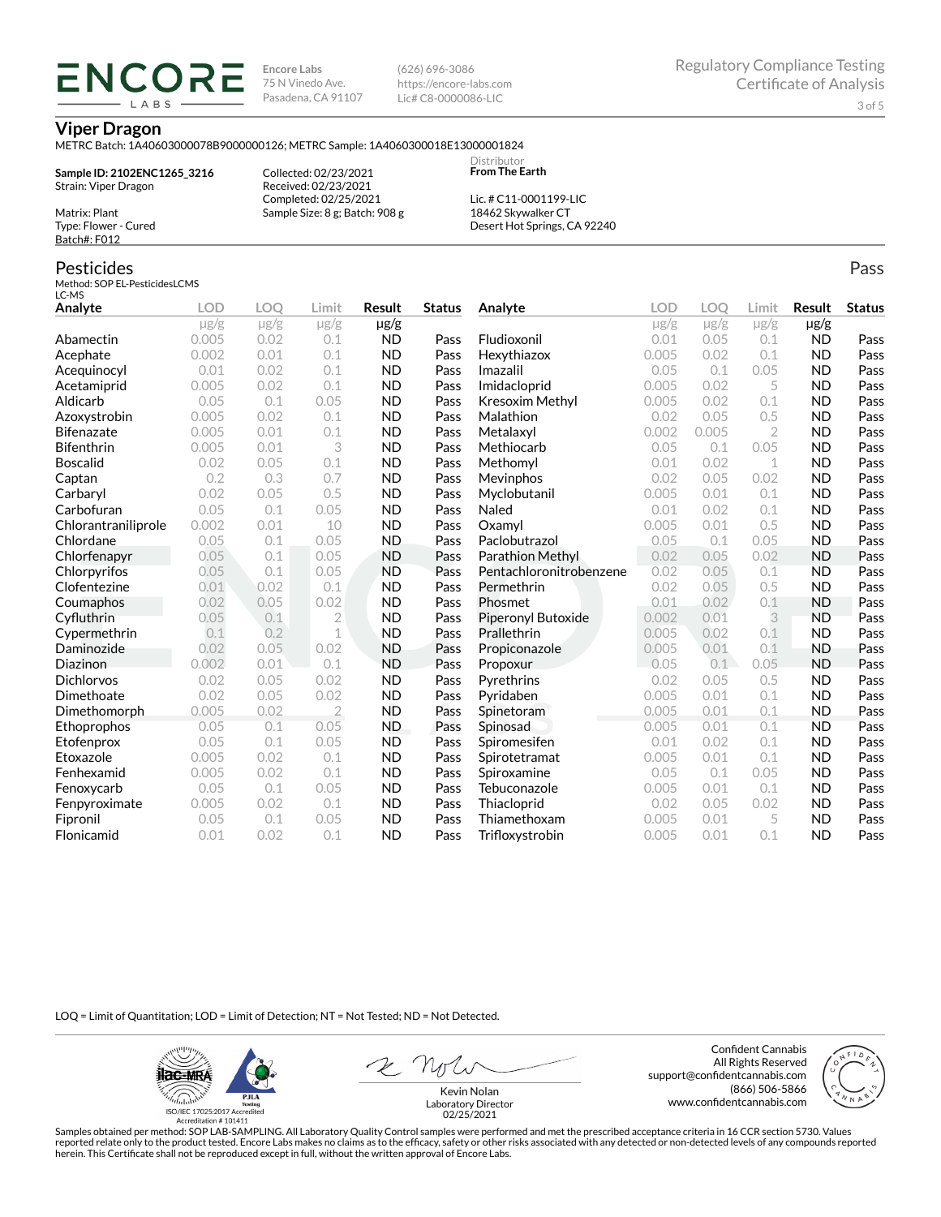(626) 696-3086 https://encore-labs.com Lic# C8-0000086-LIC

> **Distributor From The Earth**

#### **Viper Dragon**

Matrix: Plant Type: Flower - Cured Batch#: F012

Pesticides

METRC Batch: 1A40603000078B9000000126; METRC Sample: 1A4060300018E13000001824

**Sample ID: 2102ENC1265\_3216** Strain: Viper Dragon

**ENCORE IARS** 

> Received: 02/23/2021 Completed: 02/25/2021 Sample Size: 8 g; Batch: 908 g

Collected: 02/23/2021

Lic. # C11-0001199-LIC 18462 Skywalker CT Desert Hot Springs, CA 92240

#### Method: SOP EL-PesticidesLCMS LC-MS **Analyte LOD LOQ Limit Result Status**  $\mu$ g/g  $\mu$ g/g  $\mu$ g/g  $\mu$ g/g Abamectin 0.005 0.02 0.1 ND Pass Acephate 0.002 0.01 0.1 ND Pass Acequinocyl 0.01 0.02 0.1 ND Pass Acetamiprid 0.005 0.02 0.1 ND Pass Aldicarb 0.05 0.1 0.05 ND Pass Azoxystrobin 0.005 0.02 0.1 ND Pass Bifenazate 0.005 0.01 0.1 ND Pass Bifenthrin 0.005 0.01 3 ND Pass Boscalid 0.02 0.05 0.1 ND Pass **Captan 12 0.2 0.3 0.7 ND Pass Carbaryl 0.02 0.05 0.5 ND Pass** Carbofuran 0.05 0.1 0.05 ND Pass Chlorantraniliprole 0.002 0.01 10 ND Pass Chlordane 0.05 0.1 0.05 ND Pass Chlorfenapyr 0.05 0.1 0.05 ND Pass Chlorpyrifos 0.05 0.1 0.05 ND Pass Clofentezine 0.01 0.02 0.1 ND Pass Coumaphos 0.02 0.05 0.02 ND Pass Cyfluthrin 0.05 0.1 2 ND Pass Cypermethrin 0.1 0.2 1 ND Pass Daminozide 0.02 0.05 0.02 ND Pass **Diazinon** 0.002 0.01 0.1 ND Pass Dichlorvos 0.02 0.05 0.02 ND Pass Dimethoate 0.02 0.05 0.02 ND Pass Dimethomorph 0.005 0.02 2 ND Pass Ethoprophos 0.05 0.1 0.05 ND Pass Etofenprox 0.05 0.1 0.05 ND Pass Etoxazole 0.005 0.02 0.1 ND Pass Fenhexamid 0.005 0.02 0.1 ND Pass Fenoxycarb 0.05 0.1 0.05 ND Pass Fenpyroximate 0.005 0.02 0.1 ND Pass Fipronil 0.05 0.1 0.05 ND Pass Flonicamid 0.01 0.02 0.1 ND Pass **Analyte LOD LOQ Limit Result Status**  $\mu$ g/g  $\mu$ g/g  $\mu$ g/g  $\mu$ g/g Fludioxonil 0.01 0.05 0.1 ND Pass Hexythiazox 0.005 0.02 0.1 ND Pass **Imazalil 11 0.05 0.1 0.05 ND Pass** Imidacloprid 0.005 0.02 5 ND Pass Kresoxim Methyl  $0.005$  0.02 0.1 ND Pass **Malathion** 0.02 0.05 0.5 **ND Pass** Metalaxyl 0.002 0.005 2 ND Pass Methiocarb 0.05 0.1 0.05 ND Pass **Methomyl** 0.01 0.02 1 **ND Pass** Mevinphos 0.02 0.05 0.02 ND Pass Myclobutanil 0.005 0.01 0.1 ND Pass **Naled 1200 0.01 0.02 0.1 ND Pass Oxamyl** 0.005 0.01 0.5 **ND Pass** Paclobutrazol 0.05 0.1 0.05 ND Pass Parathion Methyl 0.02 0.05 0.02 ND Pass Pentachloronitrobenzene 0.02 0.05 0.1 ND Pass Permethrin 0.02 0.05 0.5 ND Pass Phosmet 0.01 0.02 0.1 ND Pass Piperonyl Butoxide 0.002 0.01 3 ND Pass Prallethrin 0.005 0.02 0.1 ND Pass Propiconazole 0.005 0.01 0.1 ND Pass **Propoxur 1988 0.05 0.1 0.05 ND Pass** Pyrethrins 0.02 0.05 0.5 ND Pass **Pyridaben 1988 0.005 0.01 0.1 ND Pass Spinetoram 0.005 0.01 0.1 ND Pass** Spinosad 0.005 0.01 0.1 ND Pass Spiromesifen 0.01 0.02 0.1 ND Pass Spirotetramat 0.005 0.01 0.1 ND Pass Spiroxamine 0.05 0.1 0.05 ND Pass Tebuconazole 0.005 0.01 0.1 ND Pass Thiacloprid 0.02 0.05 0.02 ND Pass Thiamethoxam 0.005 0.01 5 ND Pass Trifloxystrobin 0.005 0.01 0.1 ND Pass

LOQ = Limit of Quantitation; LOD = Limit of Detection; NT = Not Tested; ND = Not Detected.

**ilac-MRA P.ILA** أيطيبك ISO/IEC 17025:2017 A

Accreditation #101411

Z Nolw

Confident Cannabis All Rights Reserved support@confidentcannabis.com (866) 506-5866 www.confidentcannabis.com



Kevin Nolan Laboratory Director 02/25/2021

Samples obtained per method: SOP LAB-SAMPLING. All Laboratory Quality Control samples were performed and met the prescribed acceptance criteria in 16 CCR section 5730. Values reported relate only to the product tested. Encore Labs makes no claims as to the efficacy, safety or other risks associated with any detected or non-detected levels of any compounds reported herein. This Certificate shall not be reproduced except in full, without the written approval of Encore Labs.

Pass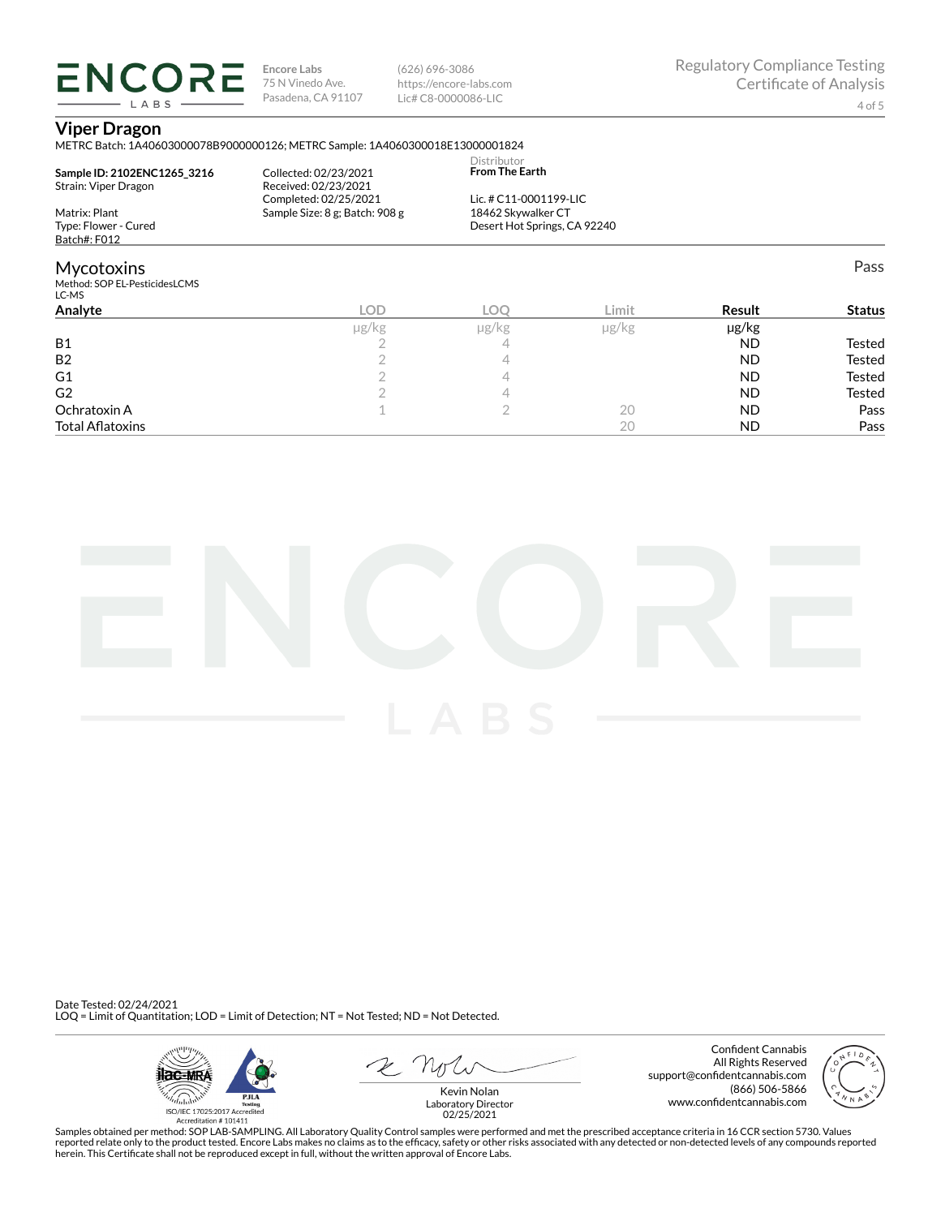(626) 696-3086 https://encore-labs.com Lic# C8-0000086-LIC

Pass

## **Viper Dragon**

LABS

METRC Batch: 1A40603000078B9000000126; METRC Sample: 1A4060300018E13000001824

| Sample ID: 2102ENC1265 3216<br>Strain: Viper Dragon         | Collected: 02/23/2021<br>Received: 02/23/2021<br>Completed: 02/25/2021 | Distributor<br><b>From The Earth</b><br>Lic. # C11-0001199-LIC |       |    |
|-------------------------------------------------------------|------------------------------------------------------------------------|----------------------------------------------------------------|-------|----|
| Matrix: Plant<br>Type: Flower - Cured<br>Batch#: F012       | Sample Size: 8 g; Batch: 908 g                                         | 18462 Skywalker CT<br>Desert Hot Springs, CA 92240             |       |    |
| <b>Mycotoxins</b><br>Method: SOP EL-PesticidesLCMS<br>LC-MS |                                                                        |                                                                |       |    |
| Analyta                                                     | $\cap$                                                                 | $\cap$                                                         | Limit | в, |

| Analyte                 | LOD   | <b>LOC</b> | Limit      | Result    | <b>Status</b> |
|-------------------------|-------|------------|------------|-----------|---------------|
|                         | µg/kg | µg/kg      | $\mu$ g/kg | µg/kg     |               |
| <b>B1</b>               |       |            |            | <b>ND</b> | Tested        |
| <b>B2</b>               |       |            |            | <b>ND</b> | Tested        |
| G <sub>1</sub>          |       |            |            | <b>ND</b> | Tested        |
| G <sub>2</sub>          |       |            |            | <b>ND</b> | Tested        |
| Ochratoxin A            |       |            | 20         | <b>ND</b> | Pass          |
| <b>Total Aflatoxins</b> |       |            | 20         | <b>ND</b> | Pass          |



Date Tested: 02/24/2021 LOQ = Limit of Quantitation; LOD = Limit of Detection; NT = Not Tested; ND = Not Detected.



Confident Cannabis All Rights Reserved support@confidentcannabis.com (866) 506-5866 www.confidentcannabis.com



Kevin Nolan Laboratory Director 02/25/2021

Samples obtained per method: SOP LAB-SAMPLING. All Laboratory Quality Control samples were performed and met the prescribed acceptance criteria in 16 CCR section 5730. Values reported relate only to the product tested. Encore Labs makes no claims as to the efficacy, safety or other risks associated with any detected or non-detected levels of any compounds reported<br>herein. This Certificate shall